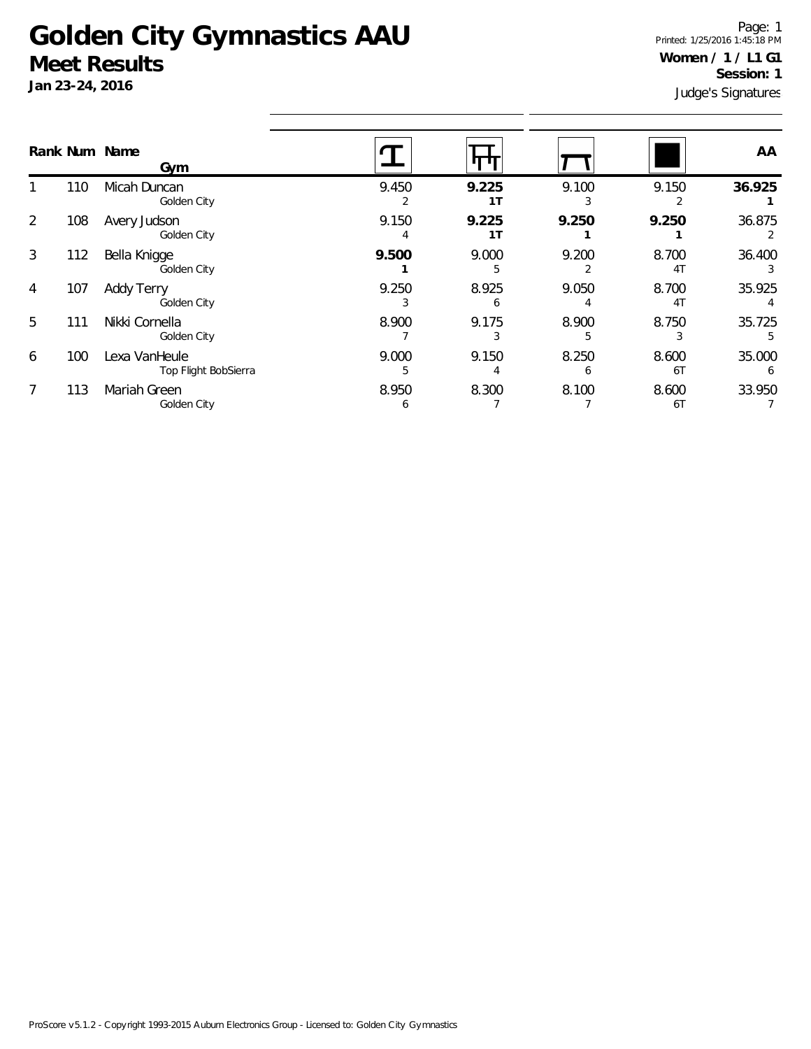## **Golden City Gymnastics AAU Meet Results**

**Jan 23-24, 2016**

Judge's Signatures Page: 1 Printed: 1/25/2016 1:45:18 PM **Women / 1 / L1 G1 Session: 1**

|   |     | Rank Num Name<br>Gym                  |            |                         |                       |                         | AA          |
|---|-----|---------------------------------------|------------|-------------------------|-----------------------|-------------------------|-------------|
|   | 110 | Micah Duncan<br>Golden City           | 9.450      | 9.225<br>1 <sub>T</sub> | 9.100                 | 9.150                   | 36.925      |
| 2 | 108 | Avery Judson<br>Golden City           | 9.150<br>4 | 9.225<br>1T             | 9.250                 | 9.250                   | 36.875      |
| 3 | 112 | Bella Knigge<br>Golden City           | 9.500      | 9.000                   | 9.200                 | 8.700<br>4 <sub>1</sub> | 36.400      |
| 4 | 107 | <b>Addy Terry</b><br>Golden City      | 9.250      | 8.925<br>6              | 9.050                 | 8.700<br>4 <sub>T</sub> | 35.925      |
| 5 | 111 | Nikki Cornella<br>Golden City         | 8.900      | 9.175                   | 8.900                 | 8.750                   | 35.725<br>5 |
| 6 | 100 | Lexa VanHeule<br>Top Flight BobSierra | 9.000<br>5 | 9.150                   | 8.250<br><sub>6</sub> | 8.600<br>6T             | 35.000<br>6 |
| 7 | 113 | Mariah Green<br>Golden City           | 8.950<br>6 | 8.300                   | 8.100                 | 8.600<br>6T             | 33.950      |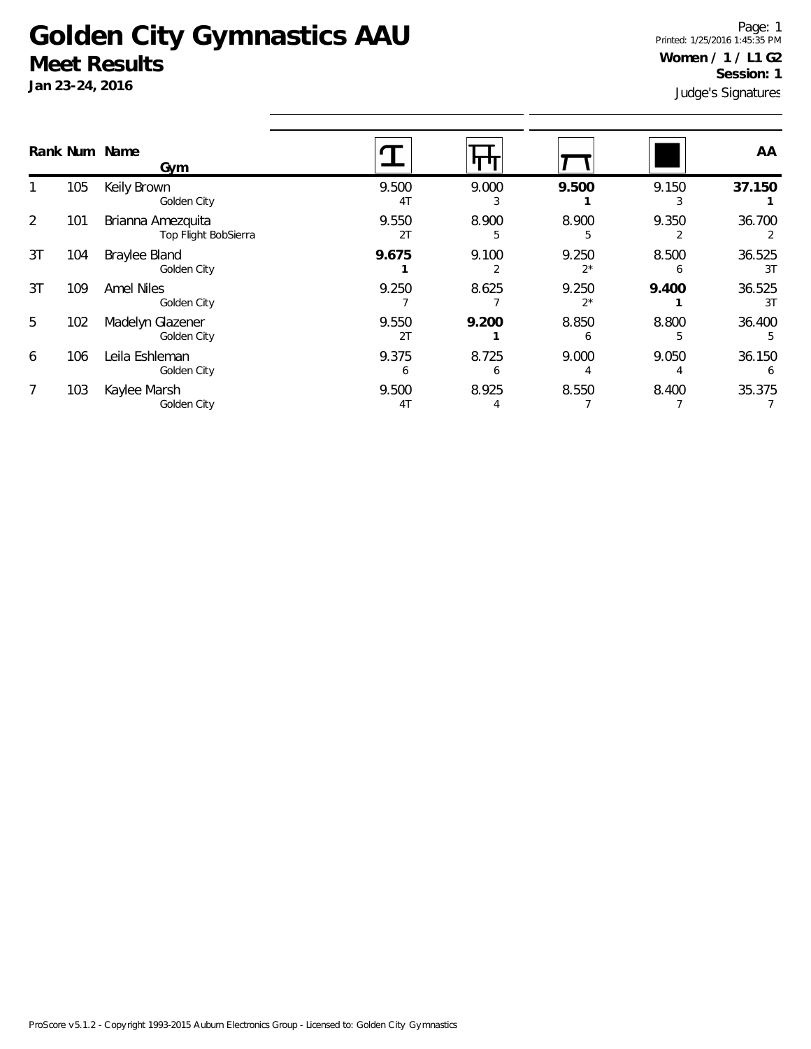## **Golden City Gymnastics AAU Meet Results**

**Jan 23-24, 2016**

Judge's Signatures Page: 1 Printed: 1/25/2016 1:45:35 PM **Women / 1 / L1 G2 Session: 1**

|    |     | Rank Num Name<br>Gym                      |                         |                       |                |       | AA           |
|----|-----|-------------------------------------------|-------------------------|-----------------------|----------------|-------|--------------|
|    | 105 | Keily Brown<br>Golden City                | 9.500<br>4 <sub>T</sub> | 9.000                 | 9.500          | 9.150 | 37.150       |
| 2  | 101 | Brianna Amezquita<br>Top Flight BobSierra | 9.550<br>2T             | 8.900<br>5            | 8.900<br>5     | 9.350 | 36.700       |
| 3T | 104 | Braylee Bland<br>Golden City              | 9.675                   | 9.100                 | 9.250<br>$2^*$ | 8.500 | 36.525<br>3T |
| 3T | 109 | <b>Amel Niles</b><br>Golden City          | 9.250                   | 8.625                 | 9.250<br>$2^*$ | 9.400 | 36.525<br>3T |
| 5  | 102 | Madelyn Glazener<br>Golden City           | 9.550<br>2T             | 9.200                 | 8.850<br>h     | 8.800 | 36.400       |
| 6  | 106 | Leila Eshleman<br>Golden City             | 9.375<br>6              | 8.725<br><sub>6</sub> | 9.000          | 9.050 | 36.150<br>6  |
| 7  | 103 | Kaylee Marsh<br>Golden City               | 9.500<br>4T             | 8.925                 | 8.550          | 8.400 | 35.375       |